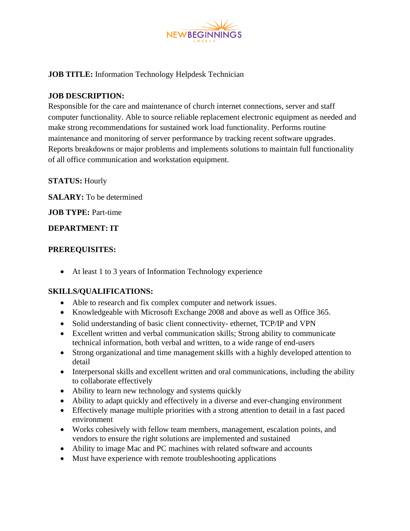

## **JOB TITLE:** Information Technology Helpdesk Technician

#### **JOB DESCRIPTION:**

Responsible for the care and maintenance of church internet connections, server and staff computer functionality. Able to source reliable replacement electronic equipment as needed and make strong recommendations for sustained work load functionality. Performs routine maintenance and monitoring of server performance by tracking recent software upgrades. Reports breakdowns or major problems and implements solutions to maintain full functionality of all office communication and workstation equipment.

## **STATUS:** Hourly

**SALARY:** To be determined

**JOB TYPE:** Part-time

#### **DEPARTMENT: IT**

#### **PREREQUISITES:**

• At least 1 to 3 years of Information Technology experience

## **SKILLS/QUALIFICATIONS:**

- Able to research and fix complex computer and network issues.
- Knowledgeable with Microsoft Exchange 2008 and above as well as Office 365.
- Solid understanding of basic client connectivity- ethernet, TCP/IP and VPN
- Excellent written and verbal communication skills; Strong ability to communicate technical information, both verbal and written, to a wide range of end-users
- Strong organizational and time management skills with a highly developed attention to detail
- Interpersonal skills and excellent written and oral communications, including the ability to collaborate effectively
- Ability to learn new technology and systems quickly
- Ability to adapt quickly and effectively in a diverse and ever-changing environment
- Effectively manage multiple priorities with a strong attention to detail in a fast paced environment
- Works cohesively with fellow team members, management, escalation points, and vendors to ensure the right solutions are implemented and sustained
- Ability to image Mac and PC machines with related software and accounts
- Must have experience with remote troubleshooting applications